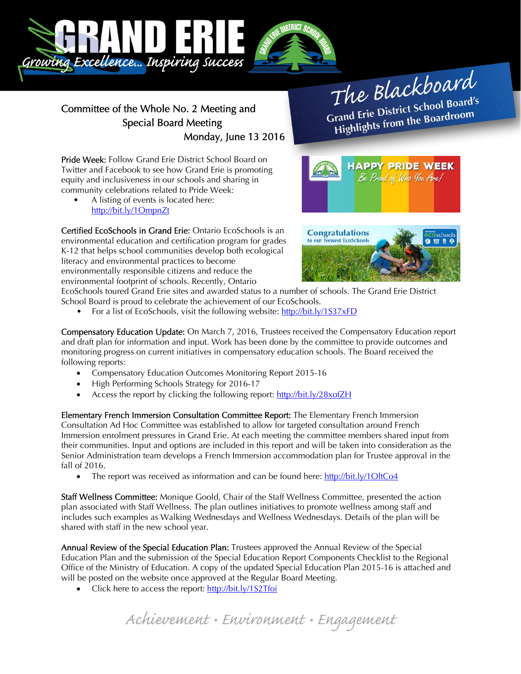

## Committee of the Whole No. 2 Meeting and Special Board Meeting Monday, June 13 2016

The Blackboard The Burnor<br>Grand Erie District School Board's<br>Little from the Boardroom rand Erie District School Board<br>Highlights from the Boardroom

> **HAPPY PRIDE WEEK** Be Proad of Who You Are!

Pride Week: Follow Grand Erie District School Board on Twitter and Facebook to see how Grand Erie is promoting equity and inclusiveness in our schools and sharing in community celebrations related to Pride Week:

• A listing of events is located here: http://bit.ly/1OmpnZt

Certified EcoSchools in Grand Erie: Ontario EcoSchools is an environmental education and certification program for grades K-12 that helps school communities develop both ecological literacy and environmental practices to become environmentally responsible citizens and reduce the environmental footprint of schools. Recently, Ontario



EcoSchools toured Grand Erie sites and awarded status to a number of schools. The Grand Erie District School Board is proud to celebrate the achievement of our EcoSchools.

For a list of EcoSchools, visit the following website: http://bit.ly/1S37xFD

Compensatory Education Update: On March 7, 2016, Trustees received the Compensatory Education report and draft plan for information and input. Work has been done by the committee to provide outcomes and monitoring progress on current initiatives in compensatory education schools. The Board received the following reports:

- Compensatory Education Outcomes Monitoring Report 2015-16
- High Performing Schools Strategy for 2016-17
- Access the report by clicking the following report: http://bit.ly/28xofZH

Elementary French Immersion Consultation Committee Report: The Elementary French Immersion Consultation Ad Hoc Committee was established to allow for targeted consultation around French Immersion enrolment pressures in Grand Erie. At each meeting the committee members shared input from their communities. Input and options are included in this report and will be taken into consideration as the Senior Administration team develops a French Immersion accommodation plan for Trustee approval in the fall of 2016.

• The report was received as information and can be found here:  $\frac{http://bit.ly/1OltCo4}{http://bit.ly/1 OltCo4}$ 

Staff Wellness Committee: Monique Goold, Chair of the Staff Wellness Committee, presented the action plan associated with Staff Wellness. The plan outlines initiatives to promote wellness among staff and includes such examples as Walking Wednesdays and Wellness Wednesdays. Details of the plan will be shared with staff in the new school year.

Annual Review of the Special Education Plan: Trustees approved the Annual Review of the Special Education Plan and the submission of the Special Education Report Components Checklist to the Regional Office of the Ministry of Education. A copy of the updated Special Education Plan 2015-16 is attached and will be posted on the website once approved at the Regular Board Meeting.

• Click here to access the report: http://bit.ly/1S2Tfoi

Achievement • Environment • Engagement